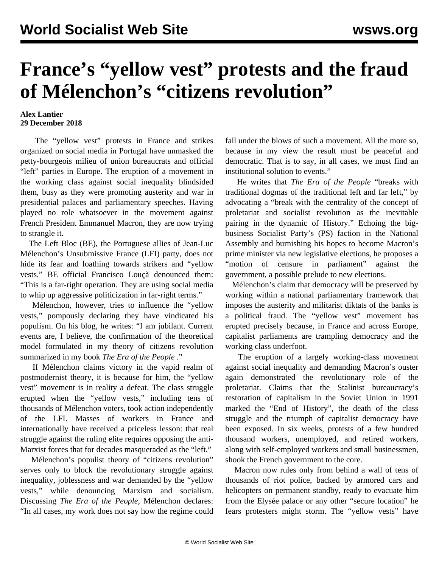## **France's "yellow vest" protests and the fraud of Mélenchon's "citizens revolution"**

## **Alex Lantier 29 December 2018**

 The "yellow vest" protests in France and strikes organized on social media in Portugal have unmasked the petty-bourgeois milieu of union bureaucrats and official "left" parties in Europe. The eruption of a movement in the working class against social inequality blindsided them, busy as they were promoting austerity and war in presidential palaces and parliamentary speeches. Having played no role whatsoever in the movement against French President Emmanuel Macron, they are now trying to strangle it.

 The Left Bloc (BE), the Portuguese allies of Jean-Luc Mélenchon's Unsubmissive France (LFI) party, does not hide its fear and loathing towards strikers and "yellow vests." BE official Francisco Louçã denounced them: "This is a far-right operation. They are using social media to whip up aggressive politicization in far-right terms."

 Mélenchon, however, tries to influence the "yellow vests," pompously declaring they have vindicated his populism. On his blog, he writes: "I am jubilant. Current events are, I believe, the confirmation of the theoretical model formulated in my theory of citizens revolution summarized in my book *The Era of the People* ."

 If Mélenchon claims victory in the vapid realm of postmodernist theory, it is because for him, the "yellow vest" movement is in reality a defeat. The class struggle erupted when the "yellow vests," including tens of thousands of Mélenchon voters, took action independently of the LFI. Masses of workers in France and internationally have received a priceless lesson: that real struggle against the ruling elite requires opposing the anti-Marxist forces that for decades masqueraded as the "left."

 Mélenchon's populist theory of "citizens revolution" serves only to block the revolutionary struggle against inequality, joblessness and war demanded by the "yellow vests," while denouncing Marxism and socialism. Discussing *The Era of the People*, Mélenchon declares: "In all cases, my work does not say how the regime could fall under the blows of such a movement. All the more so, because in my view the result must be peaceful and democratic. That is to say, in all cases, we must find an institutional solution to events."

 He writes that *The Era of the People* "breaks with traditional dogmas of the traditional left and far left," by advocating a "break with the centrality of the concept of proletariat and socialist revolution as the inevitable pairing in the dynamic of History." Echoing the bigbusiness Socialist Party's (PS) faction in the National Assembly and burnishing his hopes to become Macron's prime minister via new legislative elections, he proposes a "motion of censure in parliament" against the government, a possible prelude to new elections.

 Mélenchon's claim that democracy will be preserved by working within a national parliamentary framework that imposes the austerity and militarist diktats of the banks is a political fraud. The "yellow vest" movement has erupted precisely because, in France and across Europe, capitalist parliaments are trampling democracy and the working class underfoot.

 The eruption of a largely working-class movement against social inequality and demanding Macron's ouster again demonstrated the revolutionary role of the proletariat. Claims that the Stalinist bureaucracy's restoration of capitalism in the Soviet Union in 1991 marked the "End of History", the death of the class struggle and the triumph of capitalist democracy have been exposed. In six weeks, protests of a few hundred thousand workers, unemployed, and retired workers, along with self-employed workers and small businessmen, shook the French government to the core.

 Macron now rules only from behind a wall of tens of thousands of riot police, backed by armored cars and helicopters on permanent standby, ready to evacuate him from the Elysée palace or any other "secure location" he fears protesters might storm. The "yellow vests" have